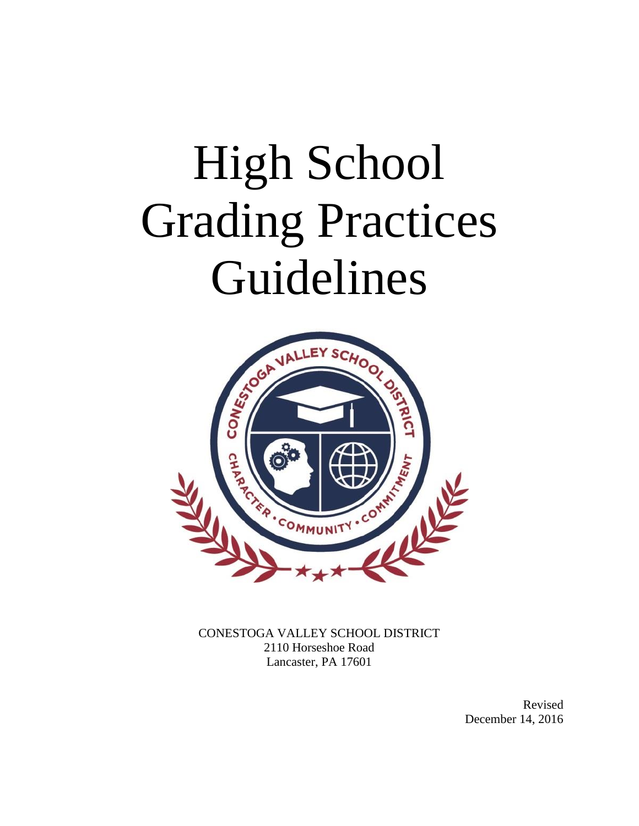# High School Grading Practices Guidelines



CONESTOGA VALLEY SCHOOL DISTRICT 2110 Horseshoe Road Lancaster, PA 17601

> Revised December 14, 2016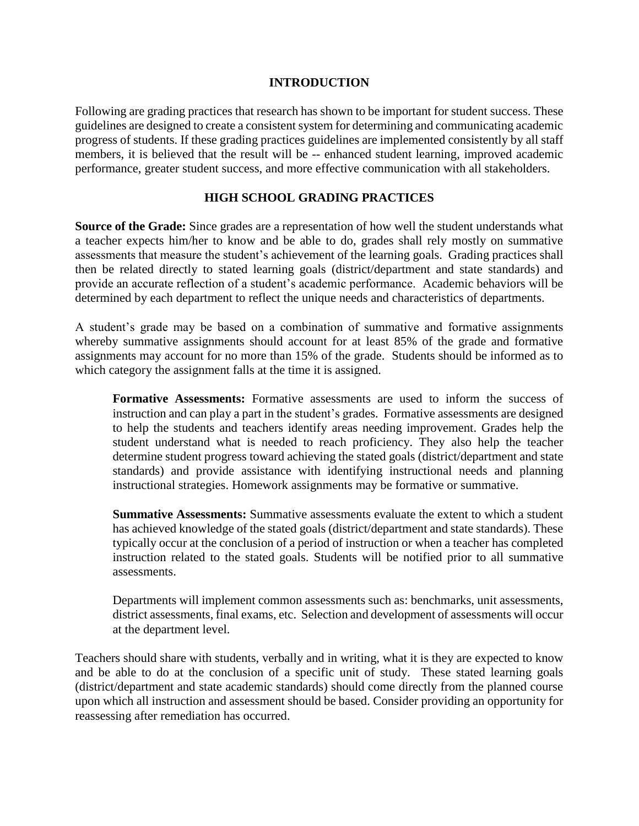# **INTRODUCTION**

Following are grading practices that research has shown to be important for student success. These guidelines are designed to create a consistent system for determining and communicating academic progress of students. If these grading practices guidelines are implemented consistently by all staff members, it is believed that the result will be -- enhanced student learning, improved academic performance, greater student success, and more effective communication with all stakeholders.

# **HIGH SCHOOL GRADING PRACTICES**

**Source of the Grade:** Since grades are a representation of how well the student understands what a teacher expects him/her to know and be able to do, grades shall rely mostly on summative assessments that measure the student's achievement of the learning goals. Grading practices shall then be related directly to stated learning goals (district/department and state standards) and provide an accurate reflection of a student's academic performance. Academic behaviors will be determined by each department to reflect the unique needs and characteristics of departments.

A student's grade may be based on a combination of summative and formative assignments whereby summative assignments should account for at least 85% of the grade and formative assignments may account for no more than 15% of the grade. Students should be informed as to which category the assignment falls at the time it is assigned.

**Formative Assessments:** Formative assessments are used to inform the success of instruction and can play a part in the student's grades. Formative assessments are designed to help the students and teachers identify areas needing improvement. Grades help the student understand what is needed to reach proficiency. They also help the teacher determine student progress toward achieving the stated goals (district/department and state standards) and provide assistance with identifying instructional needs and planning instructional strategies. Homework assignments may be formative or summative.

**Summative Assessments:** Summative assessments evaluate the extent to which a student has achieved knowledge of the stated goals (district/department and state standards). These typically occur at the conclusion of a period of instruction or when a teacher has completed instruction related to the stated goals. Students will be notified prior to all summative assessments.

Departments will implement common assessments such as: benchmarks, unit assessments, district assessments, final exams, etc. Selection and development of assessments will occur at the department level.

Teachers should share with students, verbally and in writing, what it is they are expected to know and be able to do at the conclusion of a specific unit of study. These stated learning goals (district/department and state academic standards) should come directly from the planned course upon which all instruction and assessment should be based. Consider providing an opportunity for reassessing after remediation has occurred.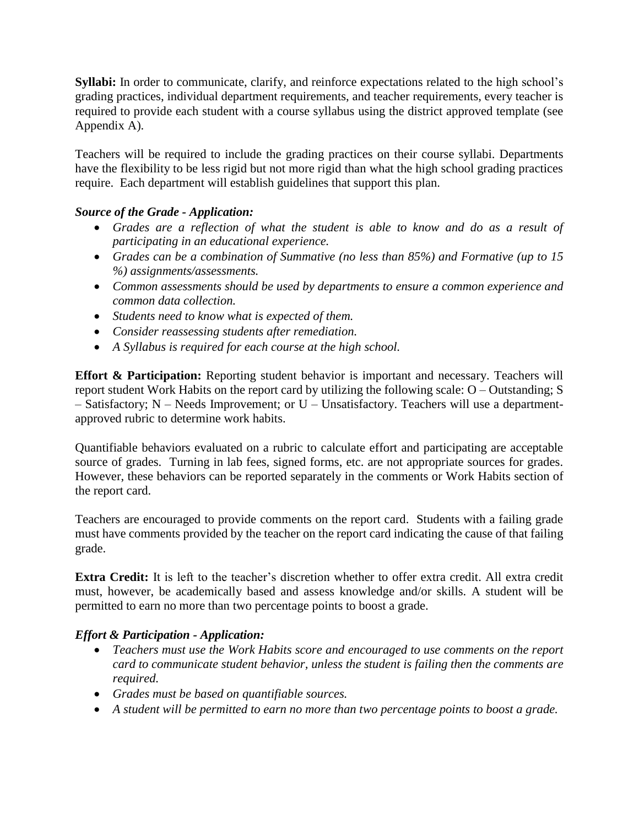**Syllabi:** In order to communicate, clarify, and reinforce expectations related to the high school's grading practices, individual department requirements, and teacher requirements, every teacher is required to provide each student with a course syllabus using the district approved template (see Appendix A).

Teachers will be required to include the grading practices on their course syllabi. Departments have the flexibility to be less rigid but not more rigid than what the high school grading practices require. Each department will establish guidelines that support this plan.

# *Source of the Grade - Application:*

- *Grades are a reflection of what the student is able to know and do as a result of participating in an educational experience.*
- *Grades can be a combination of Summative (no less than 85%) and Formative (up to 15 %) assignments/assessments.*
- *Common assessments should be used by departments to ensure a common experience and common data collection.*
- *Students need to know what is expected of them.*
- *Consider reassessing students after remediation.*
- *A Syllabus is required for each course at the high school.*

**Effort & Participation:** Reporting student behavior is important and necessary. Teachers will report student Work Habits on the report card by utilizing the following scale: O – Outstanding; S – Satisfactory; N – Needs Improvement; or U – Unsatisfactory. Teachers will use a departmentapproved rubric to determine work habits.

Quantifiable behaviors evaluated on a rubric to calculate effort and participating are acceptable source of grades. Turning in lab fees, signed forms, etc. are not appropriate sources for grades. However, these behaviors can be reported separately in the comments or Work Habits section of the report card.

Teachers are encouraged to provide comments on the report card. Students with a failing grade must have comments provided by the teacher on the report card indicating the cause of that failing grade.

**Extra Credit:** It is left to the teacher's discretion whether to offer extra credit. All extra credit must, however, be academically based and assess knowledge and/or skills. A student will be permitted to earn no more than two percentage points to boost a grade.

# *Effort & Participation - Application:*

- *Teachers must use the Work Habits score and encouraged to use comments on the report card to communicate student behavior, unless the student is failing then the comments are required.*
- *Grades must be based on quantifiable sources.*
- *A student will be permitted to earn no more than two percentage points to boost a grade.*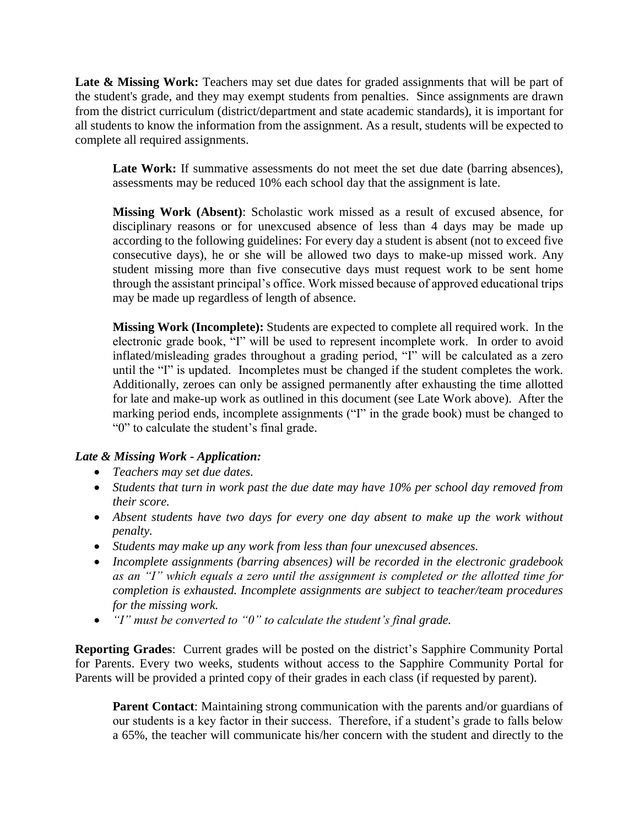Late & Missing Work: Teachers may set due dates for graded assignments that will be part of the student's grade, and they may exempt students from penalties. Since assignments are drawn from the district curriculum (district/department and state academic standards), it is important for all students to know the information from the assignment. As a result, students will be expected to complete all required assignments.

Late Work: If summative assessments do not meet the set due date (barring absences), assessments may be reduced 10% each school day that the assignment is late.

**Missing Work (Absent)**: Scholastic work missed as a result of excused absence, for disciplinary reasons or for unexcused absence of less than 4 days may be made up according to the following guidelines: For every day a student is absent (not to exceed five consecutive days), he or she will be allowed two days to make-up missed work. Any student missing more than five consecutive days must request work to be sent home through the assistant principal's office. Work missed because of approved educational trips may be made up regardless of length of absence.

**Missing Work (Incomplete):** Students are expected to complete all required work. In the electronic grade book, "I" will be used to represent incomplete work. In order to avoid inflated/misleading grades throughout a grading period, "I" will be calculated as a zero until the "I" is updated. Incompletes must be changed if the student completes the work. Additionally, zeroes can only be assigned permanently after exhausting the time allotted for late and make-up work as outlined in this document (see Late Work above). After the marking period ends, incomplete assignments ("I" in the grade book) must be changed to "0" to calculate the student's final grade.

# *Late & Missing Work - Application:*

- *Teachers may set due dates.*
- *Students that turn in work past the due date may have 10% per school day removed from their score.*
- *Absent students have two days for every one day absent to make up the work without penalty.*
- *Students may make up any work from less than four unexcused absences.*
- *Incomplete assignments (barring absences) will be recorded in the electronic gradebook as an "I" which equals a zero until the assignment is completed or the allotted time for completion is exhausted. Incomplete assignments are subject to teacher/team procedures for the missing work.*
- *"I" must be converted to "0" to calculate the student's final grade.*

**Reporting Grades**: Current grades will be posted on the district's Sapphire Community Portal for Parents. Every two weeks, students without access to the Sapphire Community Portal for Parents will be provided a printed copy of their grades in each class (if requested by parent).

**Parent Contact:** Maintaining strong communication with the parents and/or guardians of our students is a key factor in their success. Therefore, if a student's grade to falls below a 65%, the teacher will communicate his/her concern with the student and directly to the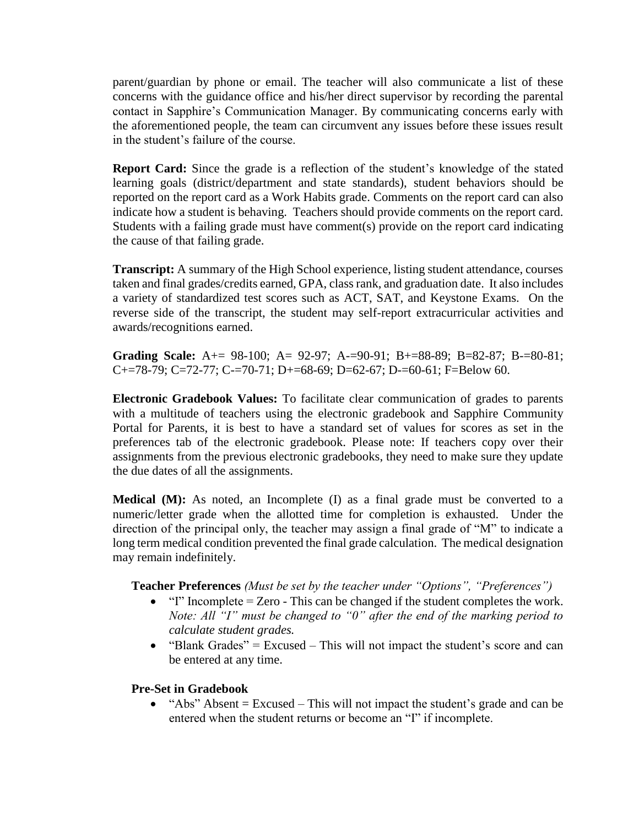parent/guardian by phone or email. The teacher will also communicate a list of these concerns with the guidance office and his/her direct supervisor by recording the parental contact in Sapphire's Communication Manager. By communicating concerns early with the aforementioned people, the team can circumvent any issues before these issues result in the student's failure of the course.

**Report Card:** Since the grade is a reflection of the student's knowledge of the stated learning goals (district/department and state standards), student behaviors should be reported on the report card as a Work Habits grade. Comments on the report card can also indicate how a student is behaving. Teachers should provide comments on the report card. Students with a failing grade must have comment(s) provide on the report card indicating the cause of that failing grade.

**Transcript:** A summary of the High School experience, listing student attendance, courses taken and final grades/credits earned, GPA, class rank, and graduation date. It also includes a variety of standardized test scores such as ACT, SAT, and Keystone Exams. On the reverse side of the transcript, the student may self-report extracurricular activities and awards/recognitions earned.

**Grading Scale:** A+= 98-100; A= 92-97; A-=90-91; B+=88-89; B=82-87; B-=80-81; C+=78-79; C=72-77; C-=70-71; D+=68-69; D=62-67; D-=60-61; F=Below 60.

**Electronic Gradebook Values:** To facilitate clear communication of grades to parents with a multitude of teachers using the electronic gradebook and Sapphire Community Portal for Parents, it is best to have a standard set of values for scores as set in the preferences tab of the electronic gradebook. Please note: If teachers copy over their assignments from the previous electronic gradebooks, they need to make sure they update the due dates of all the assignments.

**Medical (M):** As noted, an Incomplete (I) as a final grade must be converted to a numeric/letter grade when the allotted time for completion is exhausted. Under the direction of the principal only, the teacher may assign a final grade of "M" to indicate a long term medical condition prevented the final grade calculation. The medical designation may remain indefinitely.

### **Teacher Preferences** *(Must be set by the teacher under "Options", "Preferences")*

- $\bullet$  "I" Incomplete = Zero This can be changed if the student completes the work. *Note: All "I" must be changed to "0" after the end of the marking period to calculate student grades.*
- "Blank Grades" = Excused  $-$  This will not impact the student's score and can be entered at any time.

### **Pre-Set in Gradebook**

 $\bullet$  "Abs" Absent = Excused – This will not impact the student's grade and can be entered when the student returns or become an "I" if incomplete.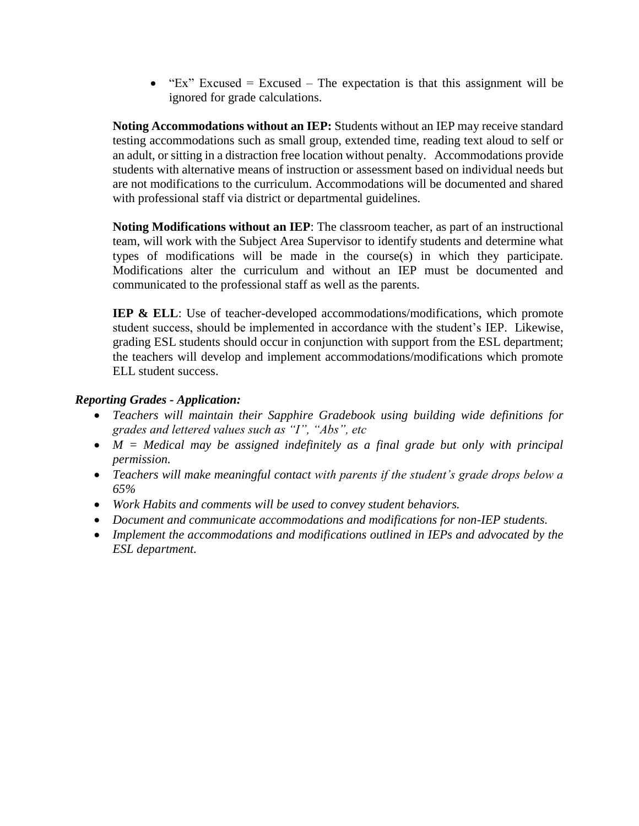$\bullet$  "Ex" Excused = Excused – The expectation is that this assignment will be ignored for grade calculations.

**Noting Accommodations without an IEP:** Students without an IEP may receive standard testing accommodations such as small group, extended time, reading text aloud to self or an adult, or sitting in a distraction free location without penalty. Accommodations provide students with alternative means of instruction or assessment based on individual needs but are not modifications to the curriculum. Accommodations will be documented and shared with professional staff via district or departmental guidelines.

**Noting Modifications without an IEP**: The classroom teacher, as part of an instructional team, will work with the Subject Area Supervisor to identify students and determine what types of modifications will be made in the course(s) in which they participate. Modifications alter the curriculum and without an IEP must be documented and communicated to the professional staff as well as the parents.

**IEP & ELL**: Use of teacher-developed accommodations/modifications, which promote student success, should be implemented in accordance with the student's IEP. Likewise, grading ESL students should occur in conjunction with support from the ESL department; the teachers will develop and implement accommodations/modifications which promote ELL student success.

# *Reporting Grades - Application:*

- *Teachers will maintain their Sapphire Gradebook using building wide definitions for grades and lettered values such as "I", "Abs", etc*
- *M = Medical may be assigned indefinitely as a final grade but only with principal permission.*
- *Teachers will make meaningful contact with parents if the student's grade drops below a 65%*
- *Work Habits and comments will be used to convey student behaviors.*
- *Document and communicate accommodations and modifications for non-IEP students.*
- *Implement the accommodations and modifications outlined in IEPs and advocated by the ESL department.*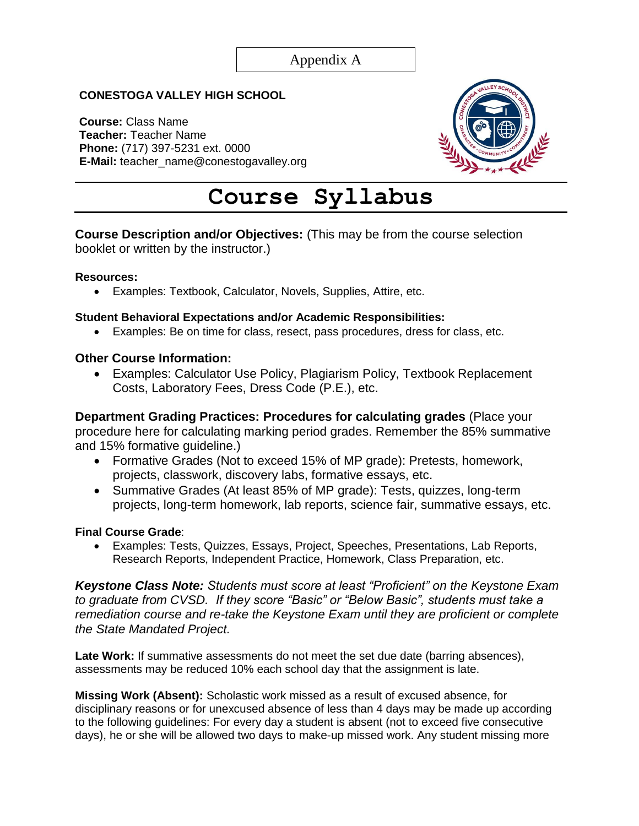# **CONESTOGA VALLEY HIGH SCHOOL**

**Course:** Class Name **Teacher:** Teacher Name **Phone:** (717) 397-5231 ext. 0000 **E-Mail:** teacher\_name@conestogavalley.org



# **Course Syllabus**

# **Course Description and/or Objectives:** (This may be from the course selection booklet or written by the instructor.)

#### **Resources:**

Examples: Textbook, Calculator, Novels, Supplies, Attire, etc.

### **Student Behavioral Expectations and/or Academic Responsibilities:**

Examples: Be on time for class, resect, pass procedures, dress for class, etc.

### **Other Course Information:**

 Examples: Calculator Use Policy, Plagiarism Policy, Textbook Replacement Costs, Laboratory Fees, Dress Code (P.E.), etc.

**Department Grading Practices: Procedures for calculating grades** (Place your procedure here for calculating marking period grades. Remember the 85% summative and 15% formative guideline.)

- Formative Grades (Not to exceed 15% of MP grade): Pretests, homework, projects, classwork, discovery labs, formative essays, etc.
- Summative Grades (At least 85% of MP grade): Tests, quizzes, long-term projects, long-term homework, lab reports, science fair, summative essays, etc.

### **Final Course Grade**:

 Examples: Tests, Quizzes, Essays, Project, Speeches, Presentations, Lab Reports, Research Reports, Independent Practice, Homework, Class Preparation, etc.

*Keystone Class Note: Students must score at least "Proficient" on the Keystone Exam to graduate from CVSD. If they score "Basic" or "Below Basic", students must take a remediation course and re-take the Keystone Exam until they are proficient or complete the State Mandated Project.*

Late Work: If summative assessments do not meet the set due date (barring absences), assessments may be reduced 10% each school day that the assignment is late.

**Missing Work (Absent):** Scholastic work missed as a result of excused absence, for disciplinary reasons or for unexcused absence of less than 4 days may be made up according to the following guidelines: For every day a student is absent (not to exceed five consecutive days), he or she will be allowed two days to make-up missed work. Any student missing more